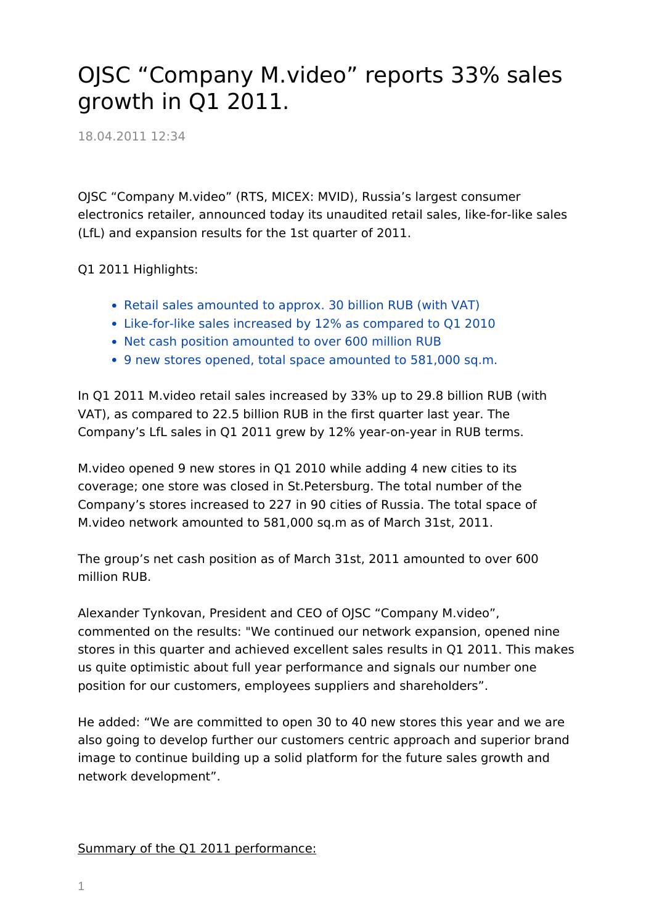## OJSC "Company M.video" reports 33% sales growth in Q1 2011.

18.04.2011 12:34

OJSC "Company M.video" (RTS, MICEX: MVID), Russia's largest consumer electronics retailer, announced today its unaudited retail sales, like-for-like sales (LfL) and expansion results for the 1st quarter of 2011.

Q1 2011 Highlights:

- Retail sales amounted to approx. 30 billion RUB (with VAT)
- Like-for-like sales increased by 12% as compared to Q1 2010
- Net cash position amounted to over 600 million RUB
- 9 new stores opened, total space amounted to 581,000 sq.m.

In Q1 2011 M.video retail sales increased by 33% up to 29.8 billion RUB (with VAT), as compared to 22.5 billion RUB in the first quarter last year. The Company's LfL sales in Q1 2011 grew by 12% year-on-year in RUB terms.

M.video opened 9 new stores in Q1 2010 while adding 4 new cities to its coverage; one store was closed in St.Petersburg. The total number of the Company's stores increased to 227 in 90 cities of Russia. The total space of M.video network amounted to 581,000 sq.m as of March 31st, 2011.

The group's net cash position as of March 31st, 2011 amounted to over 600 million RUB.

Alexander Tynkovan, President and CEO of OJSC "Company M.video", commented on the results: "We continued our network expansion, opened nine stores in this quarter and achieved excellent sales results in Q1 2011. This makes us quite optimistic about full year performance and signals our number one position for our customers, employees suppliers and shareholders".

He added: "We are committed to open 30 to 40 new stores this year and we are also going to develop further our customers centric approach and superior brand image to continue building up a solid platform for the future sales growth and network development".

Summary of the Q1 2011 performance: